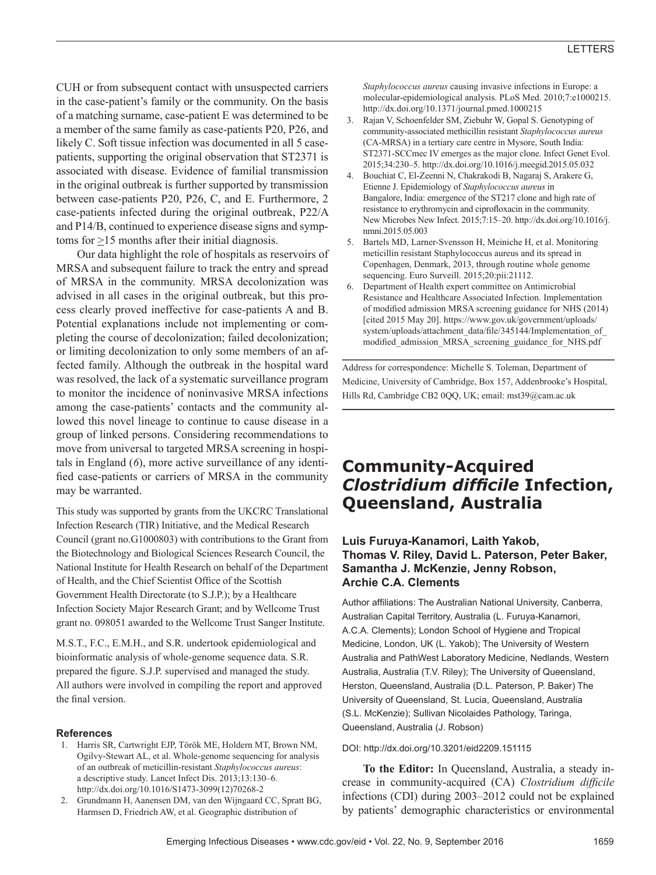CUH or from subsequent contact with unsuspected carriers in the case-patient's family or the community. On the basis of a matching surname, case-patient E was determined to be a member of the same family as case-patients P20, P26, and likely C. Soft tissue infection was documented in all 5 casepatients, supporting the original observation that ST2371 is associated with disease. Evidence of familial transmission in the original outbreak is further supported by transmission between case-patients P20, P26, C, and E. Furthermore, 2 case-patients infected during the original outbreak, P22/A and P14/B, continued to experience disease signs and symptoms for  $\geq$ 15 months after their initial diagnosis.

Our data highlight the role of hospitals as reservoirs of MRSA and subsequent failure to track the entry and spread of MRSA in the community. MRSA decolonization was advised in all cases in the original outbreak, but this process clearly proved ineffective for case-patients A and B. Potential explanations include not implementing or completing the course of decolonization; failed decolonization; or limiting decolonization to only some members of an affected family. Although the outbreak in the hospital ward was resolved, the lack of a systematic surveillance program to monitor the incidence of noninvasive MRSA infections among the case-patients' contacts and the community allowed this novel lineage to continue to cause disease in a group of linked persons. Considering recommendations to move from universal to targeted MRSA screening in hospitals in England (*6*), more active surveillance of any identified case-patients or carriers of MRSA in the community may be warranted.

This study was supported by grants from the UKCRC Translational Infection Research (TIR) Initiative, and the Medical Research Council (grant no.G1000803) with contributions to the Grant from the Biotechnology and Biological Sciences Research Council, the National Institute for Health Research on behalf of the Department of Health, and the Chief Scientist Office of the Scottish Government Health Directorate (to S.J.P.); by a Healthcare Infection Society Major Research Grant; and by Wellcome Trust grant no. 098051 awarded to the Wellcome Trust Sanger Institute.

M.S.T., F.C., E.M.H., and S.R. undertook epidemiological and bioinformatic analysis of whole-genome sequence data. S.R. prepared the figure. S.J.P. supervised and managed the study. All authors were involved in compiling the report and approved the final version.

#### **References**

- 1. Harris SR, Cartwright EJP, Török ME, Holdern MT, Brown NM, Ogilvy-Stewart AL, et al. Whole-genome sequencing for analysis of an outbreak of meticillin-resistant *Staphylococcus aureus*: a descriptive study. Lancet Infect Dis. 2013;13:130–6. http://dx.doi.org/10.1016/S1473-3099(12)70268-2
- 2. Grundmann H, Aanensen DM, van den Wijngaard CC, Spratt BG, Harmsen D, Friedrich AW, et al. Geographic distribution of

*Staphylococcus aureus* causing invasive infections in Europe: a molecular-epidemiological analysis. PLoS Med. 2010;7:e1000215. http://dx.doi.org/10.1371/journal.pmed.1000215

- 3. Rajan V, Schoenfelder SM, Ziebuhr W, Gopal S. Genotyping of community-associated methicillin resistant *Staphylococcus aureus* (CA-MRSA) in a tertiary care centre in Mysore, South India: ST2371-SCCmec IV emerges as the major clone. Infect Genet Evol. 2015;34:230–5. http://dx.doi.org/10.1016/j.meegid.2015.05.032
- 4. Bouchiat C, El-Zeenni N, Chakrakodi B, Nagaraj S, Arakere G, Etienne J. Epidemiology of *Staphylococcus aureus* in Bangalore, India: emergence of the ST217 clone and high rate of resistance to erythromycin and ciprofloxacin in the community. New Microbes New Infect. 2015;7:15–20. http://dx.doi.org/10.1016/j. nmni.2015.05.003
- 5. Bartels MD, Larner-Svensson H, Meiniche H, et al. Monitoring meticillin resistant Staphylococcus aureus and its spread in Copenhagen, Denmark, 2013, through routine whole genome sequencing. Euro Surveill. 2015;20:pii:21112.
- 6. Department of Health expert committee on Antimicrobial Resistance and Healthcare Associated Infection. Implementation of modified admission MRSA screening guidance for NHS (2014) [cited 2015 May 20]. https://www.gov.uk/government/uploads/ system/uploads/attachment\_data/file/345144/Implementation\_of\_ modified\_admission\_MRSA\_screening\_guidance\_for\_NHS.pdf

Address for correspondence: Michelle S. Toleman, Department of Medicine, University of Cambridge, Box 157, Addenbrooke's Hospital, Hills Rd, Cambridge CB2 0QQ, UK; email: mst39@cam.ac.uk

## **Community-Acquired**  *Clostridium difficile* **Infection, Queensland, Australia**

## **Luis Furuya-Kanamori, Laith Yakob, Thomas V. Riley, David L. Paterson, Peter Baker, Samantha J. McKenzie, Jenny Robson, Archie C.A. Clements**

Author affiliations: The Australian National University, Canberra, Australian Capital Territory, Australia (L. Furuya-Kanamori, A.C.A. Clements); London School of Hygiene and Tropical Medicine, London, UK (L. Yakob); The University of Western Australia and PathWest Laboratory Medicine, Nedlands, Western Australia, Australia (T.V. Riley); The University of Queensland, Herston, Queensland, Australia (D.L. Paterson, P. Baker) The University of Queensland, St. Lucia, Queensland, Australia (S.L. McKenzie); Sullivan Nicolaides Pathology, Taringa, Queensland, Australia (J. Robson)

#### DOI: http://dx.doi.org/10.3201/eid2209.151115

**To the Editor:** In Queensland, Australia, a steady increase in community-acquired (CA) *Clostridium difficile* infections (CDI) during 2003–2012 could not be explained by patients' demographic characteristics or environmental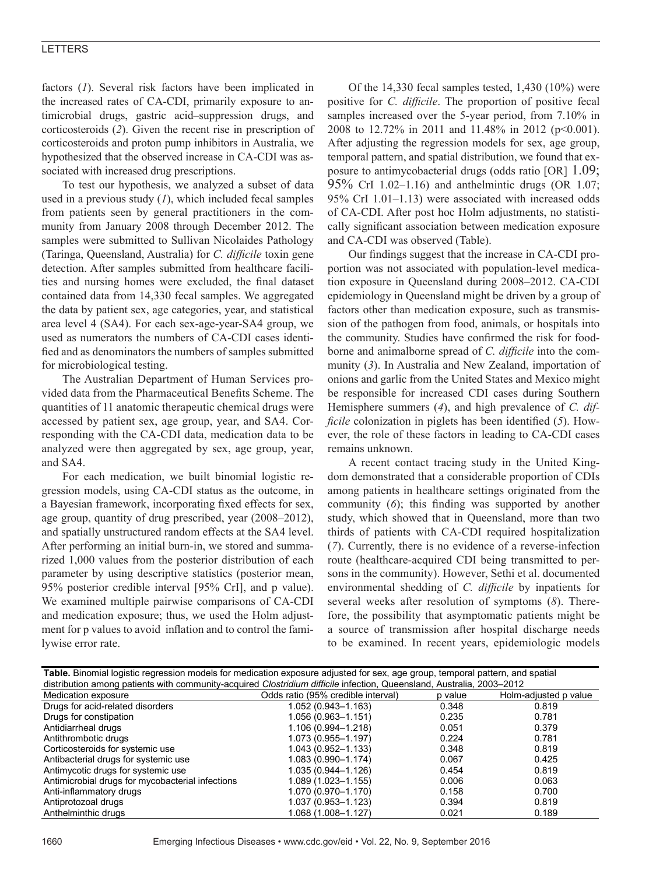## LETTERS

factors (*1*). Several risk factors have been implicated in the increased rates of CA-CDI, primarily exposure to antimicrobial drugs, gastric acid–suppression drugs, and corticosteroids (*2*). Given the recent rise in prescription of corticosteroids and proton pump inhibitors in Australia, we hypothesized that the observed increase in CA-CDI was associated with increased drug prescriptions.

To test our hypothesis, we analyzed a subset of data used in a previous study (*1*), which included fecal samples from patients seen by general practitioners in the community from January 2008 through December 2012. The samples were submitted to Sullivan Nicolaides Pathology (Taringa, Queensland, Australia) for *C. difficile* toxin gene detection. After samples submitted from healthcare facilities and nursing homes were excluded, the final dataset contained data from 14,330 fecal samples. We aggregated the data by patient sex, age categories, year, and statistical area level 4 (SA4). For each sex-age-year-SA4 group, we used as numerators the numbers of CA-CDI cases identified and as denominators the numbers of samples submitted for microbiological testing.

The Australian Department of Human Services provided data from the Pharmaceutical Benefits Scheme. The quantities of 11 anatomic therapeutic chemical drugs were accessed by patient sex, age group, year, and SA4. Corresponding with the CA-CDI data, medication data to be analyzed were then aggregated by sex, age group, year, and SA4.

For each medication, we built binomial logistic regression models, using CA-CDI status as the outcome, in a Bayesian framework, incorporating fixed effects for sex, age group, quantity of drug prescribed, year (2008–2012), and spatially unstructured random effects at the SA4 level. After performing an initial burn-in, we stored and summarized 1,000 values from the posterior distribution of each parameter by using descriptive statistics (posterior mean, 95% posterior credible interval [95% CrI], and p value). We examined multiple pairwise comparisons of CA-CDI and medication exposure; thus, we used the Holm adjustment for p values to avoid inflation and to control the familywise error rate.

Of the 14,330 fecal samples tested, 1,430 (10%) were positive for *C. difficile*. The proportion of positive fecal samples increased over the 5-year period, from 7.10% in 2008 to 12.72% in 2011 and 11.48% in 2012 (p<0.001). After adjusting the regression models for sex, age group, temporal pattern, and spatial distribution, we found that exposure to antimycobacterial drugs (odds ratio  $[OR]$  1.09; 95% CrI 1.02–1.16) and anthelmintic drugs (OR 1.07; 95% CrI 1.01–1.13) were associated with increased odds of CA-CDI. After post hoc Holm adjustments, no statistically significant association between medication exposure and CA-CDI was observed (Table).

Our findings suggest that the increase in CA-CDI proportion was not associated with population-level medication exposure in Queensland during 2008–2012. CA-CDI epidemiology in Queensland might be driven by a group of factors other than medication exposure, such as transmission of the pathogen from food, animals, or hospitals into the community. Studies have confirmed the risk for foodborne and animalborne spread of *C. difficile* into the community (*3*). In Australia and New Zealand, importation of onions and garlic from the United States and Mexico might be responsible for increased CDI cases during Southern Hemisphere summers (*4*), and high prevalence of *C. difficile* colonization in piglets has been identified (*5*). However, the role of these factors in leading to CA-CDI cases remains unknown.

A recent contact tracing study in the United Kingdom demonstrated that a considerable proportion of CDIs among patients in healthcare settings originated from the community (*6*); this finding was supported by another study, which showed that in Queensland, more than two thirds of patients with CA-CDI required hospitalization (*7*). Currently, there is no evidence of a reverse-infection route (healthcare-acquired CDI being transmitted to persons in the community). However, Sethi et al. documented environmental shedding of *C. difficile* by inpatients for several weeks after resolution of symptoms (*8*). Therefore, the possibility that asymptomatic patients might be a source of transmission after hospital discharge needs to be examined. In recent years, epidemiologic models

| Table. Binomial logistic regression models for medication exposure adjusted for sex, age group, temporal pattern, and spatial |                                    |         |                       |
|-------------------------------------------------------------------------------------------------------------------------------|------------------------------------|---------|-----------------------|
| distribution among patients with community-acquired Clostridium difficile infection, Queensland, Australia, 2003–2012         |                                    |         |                       |
| Medication exposure                                                                                                           | Odds ratio (95% credible interval) | p value | Holm-adjusted p value |
| Drugs for acid-related disorders                                                                                              | 1.052 (0.943-1.163)                | 0.348   | 0.819                 |
| Drugs for constipation                                                                                                        | 1.056 (0.963-1.151)                | 0.235   | 0.781                 |
| Antidiarrheal drugs                                                                                                           | 1.106 (0.994-1.218)                | 0.051   | 0.379                 |
| Antithrombotic drugs                                                                                                          | 1.073 (0.955-1.197)                | 0.224   | 0.781                 |
| Corticosteroids for systemic use                                                                                              | 1.043 (0.952-1.133)                | 0.348   | 0.819                 |
| Antibacterial drugs for systemic use                                                                                          | 1.083 (0.990-1.174)                | 0.067   | 0.425                 |
| Antimycotic drugs for systemic use                                                                                            | 1.035 (0.944-1.126)                | 0.454   | 0.819                 |
| Antimicrobial drugs for mycobacterial infections                                                                              | $1.089(1.023 - 1.155)$             | 0.006   | 0.063                 |
| Anti-inflammatory drugs                                                                                                       | 1.070 (0.970-1.170)                | 0.158   | 0.700                 |
| Antiprotozoal drugs                                                                                                           | 1.037 (0.953-1.123)                | 0.394   | 0.819                 |
| Anthelminthic drugs                                                                                                           | 1.068 (1.008-1.127)                | 0.021   | 0.189                 |